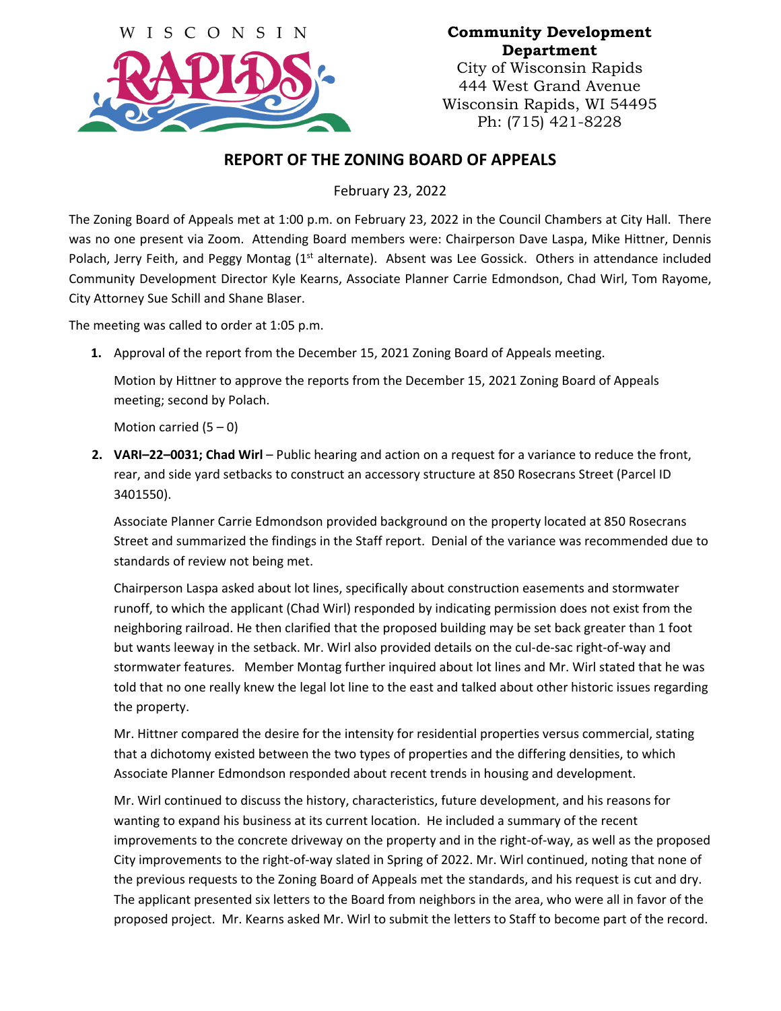

## **Community Development Department**

City of Wisconsin Rapids 444 West Grand Avenue Wisconsin Rapids, WI 54495 Ph: (715) 421-8228

## **REPORT OF THE ZONING BOARD OF APPEALS**

February 23, 2022

The Zoning Board of Appeals met at 1:00 p.m. on February 23, 2022 in the Council Chambers at City Hall. There was no one present via Zoom. Attending Board members were: Chairperson Dave Laspa, Mike Hittner, Dennis Polach, Jerry Feith, and Peggy Montag (1<sup>st</sup> alternate). Absent was Lee Gossick. Others in attendance included Community Development Director Kyle Kearns, Associate Planner Carrie Edmondson, Chad Wirl, Tom Rayome, City Attorney Sue Schill and Shane Blaser.

The meeting was called to order at 1:05 p.m.

**1.** Approval of the report from the December 15, 2021 Zoning Board of Appeals meeting.

Motion by Hittner to approve the reports from the December 15, 2021 Zoning Board of Appeals meeting; second by Polach.

Motion carried  $(5 - 0)$ 

**2. VARI–22–0031; Chad Wirl** – Public hearing and action on a request for a variance to reduce the front, rear, and side yard setbacks to construct an accessory structure at 850 Rosecrans Street (Parcel ID 3401550).

Associate Planner Carrie Edmondson provided background on the property located at 850 Rosecrans Street and summarized the findings in the Staff report. Denial of the variance was recommended due to standards of review not being met.

Chairperson Laspa asked about lot lines, specifically about construction easements and stormwater runoff, to which the applicant (Chad Wirl) responded by indicating permission does not exist from the neighboring railroad. He then clarified that the proposed building may be set back greater than 1 foot but wants leeway in the setback. Mr. Wirl also provided details on the cul-de-sac right-of-way and stormwater features. Member Montag further inquired about lot lines and Mr. Wirl stated that he was told that no one really knew the legal lot line to the east and talked about other historic issues regarding the property.

Mr. Hittner compared the desire for the intensity for residential properties versus commercial, stating that a dichotomy existed between the two types of properties and the differing densities, to which Associate Planner Edmondson responded about recent trends in housing and development.

Mr. Wirl continued to discuss the history, characteristics, future development, and his reasons for wanting to expand his business at its current location. He included a summary of the recent improvements to the concrete driveway on the property and in the right-of-way, as well as the proposed City improvements to the right-of-way slated in Spring of 2022. Mr. Wirl continued, noting that none of the previous requests to the Zoning Board of Appeals met the standards, and his request is cut and dry. The applicant presented six letters to the Board from neighbors in the area, who were all in favor of the proposed project. Mr. Kearns asked Mr. Wirl to submit the letters to Staff to become part of the record.